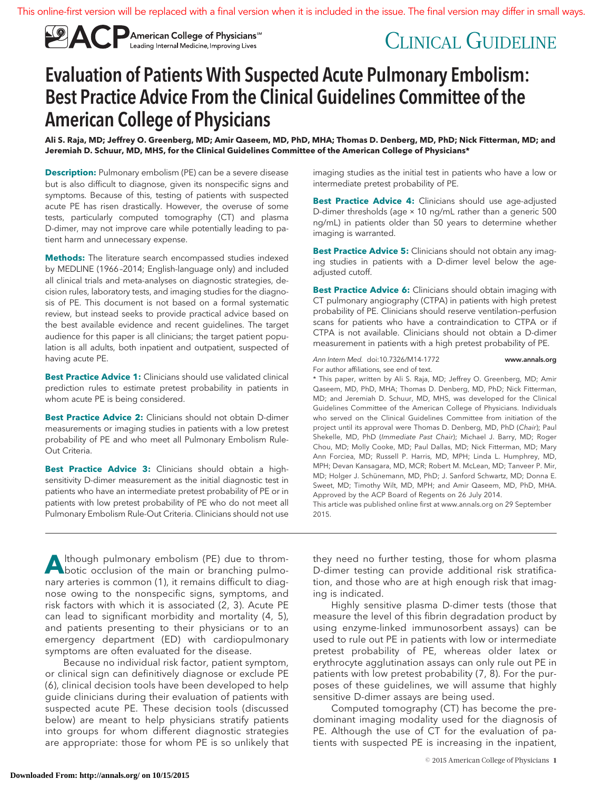

# CLINICAL GUIDELINE

# Evaluation of Patients With Suspected Acute Pulmonary Embolism: Best Practice Advice From the Clinical Guidelines Committee of the American College of Physicians

**Ali S. Raja, MD; Jeffrey O. Greenberg, MD; Amir Qaseem, MD, PhD, MHA; Thomas D. Denberg, MD, PhD; Nick Fitterman, MD; and Jeremiah D. Schuur, MD, MHS, for the Clinical Guidelines Committee of the American College of Physicians\***

**Description:** Pulmonary embolism (PE) can be a severe disease but is also difficult to diagnose, given its nonspecific signs and symptoms. Because of this, testing of patients with suspected acute PE has risen drastically. However, the overuse of some tests, particularly computed tomography (CT) and plasma D-dimer, may not improve care while potentially leading to patient harm and unnecessary expense.

**Methods:** The literature search encompassed studies indexed by MEDLINE (1966 –2014; English-language only) and included all clinical trials and meta-analyses on diagnostic strategies, decision rules, laboratory tests, and imaging studies for the diagnosis of PE. This document is not based on a formal systematic review, but instead seeks to provide practical advice based on the best available evidence and recent guidelines. The target audience for this paper is all clinicians; the target patient population is all adults, both inpatient and outpatient, suspected of having acute PE.

**Best Practice Advice 1:** Clinicians should use validated clinical prediction rules to estimate pretest probability in patients in whom acute PE is being considered.

**Best Practice Advice 2:** Clinicians should not obtain D-dimer measurements or imaging studies in patients with a low pretest probability of PE and who meet all Pulmonary Embolism Rule-Out Criteria.

**Best Practice Advice 3:** Clinicians should obtain a highsensitivity D-dimer measurement as the initial diagnostic test in patients who have an intermediate pretest probability of PE or in patients with low pretest probability of PE who do not meet all Pulmonary Embolism Rule-Out Criteria. Clinicians should not use imaging studies as the initial test in patients who have a low or intermediate pretest probability of PE.

**Best Practice Advice 4:** Clinicians should use age-adjusted D-dimer thresholds (age × 10 ng/mL rather than a generic 500 ng/mL) in patients older than 50 years to determine whether imaging is warranted.

**Best Practice Advice 5:** Clinicians should not obtain any imaging studies in patients with a D-dimer level below the ageadjusted cutoff.

**Best Practice Advice 6:** Clinicians should obtain imaging with CT pulmonary angiography (CTPA) in patients with high pretest probability of PE. Clinicians should reserve ventilation–perfusion scans for patients who have a contraindication to CTPA or if CTPA is not available. Clinicians should not obtain a D-dimer measurement in patients with a high pretest probability of PE.

Ann Intern Med. doi:10.7326/M14-1772 www.annals.org For author affiliations, see end of text.

\* This paper, written by Ali S. Raja, MD; Jeffrey O. Greenberg, MD; Amir Qaseem, MD, PhD, MHA; Thomas D. Denberg, MD, PhD; Nick Fitterman, MD; and Jeremiah D. Schuur, MD, MHS, was developed for the Clinical Guidelines Committee of the American College of Physicians. Individuals who served on the Clinical Guidelines Committee from initiation of the project until its approval were Thomas D. Denberg, MD, PhD (Chair); Paul Shekelle, MD, PhD (Immediate Past Chair); Michael J. Barry, MD; Roger Chou, MD; Molly Cooke, MD; Paul Dallas, MD; Nick Fitterman, MD; Mary Ann Forciea, MD; Russell P. Harris, MD, MPH; Linda L. Humphrey, MD, MPH; Devan Kansagara, MD, MCR; Robert M. McLean, MD; Tanveer P. Mir, MD; Holger J. Schünemann, MD, PhD; J. Sanford Schwartz, MD; Donna E. Sweet, MD; Timothy Wilt, MD, MPH; and Amir Qaseem, MD, PhD, MHA. Approved by the ACP Board of Regents on 26 July 2014. This article was published online first at [www.annals.org](http://www.annals.org) on 29 September

2015.

Although pulmonary embolism (PE) due to throm-<br>botic occlusion of the main or branching pulmonary arteries is common (1), it remains difficult to diagnose owing to the nonspecific signs, symptoms, and risk factors with which it is associated (2, 3). Acute PE can lead to significant morbidity and mortality (4, 5), and patients presenting to their physicians or to an emergency department (ED) with cardiopulmonary symptoms are often evaluated for the disease.

Because no individual risk factor, patient symptom, or clinical sign can definitively diagnose or exclude PE (6), clinical decision tools have been developed to help guide clinicians during their evaluation of patients with suspected acute PE. These decision tools (discussed below) are meant to help physicians stratify patients into groups for whom different diagnostic strategies are appropriate: those for whom PE is so unlikely that

they need no further testing, those for whom plasma D-dimer testing can provide additional risk stratification, and those who are at high enough risk that imaging is indicated.

Highly sensitive plasma D-dimer tests (those that measure the level of this fibrin degradation product by using enzyme-linked immunosorbent assays) can be used to rule out PE in patients with low or intermediate pretest probability of PE, whereas older latex or erythrocyte agglutination assays can only rule out PE in patients with low pretest probability (7, 8). For the purposes of these guidelines, we will assume that highly sensitive D-dimer assays are being used.

Computed tomography (CT) has become the predominant imaging modality used for the diagnosis of PE. Although the use of CT for the evaluation of patients with suspected PE is increasing in the inpatient,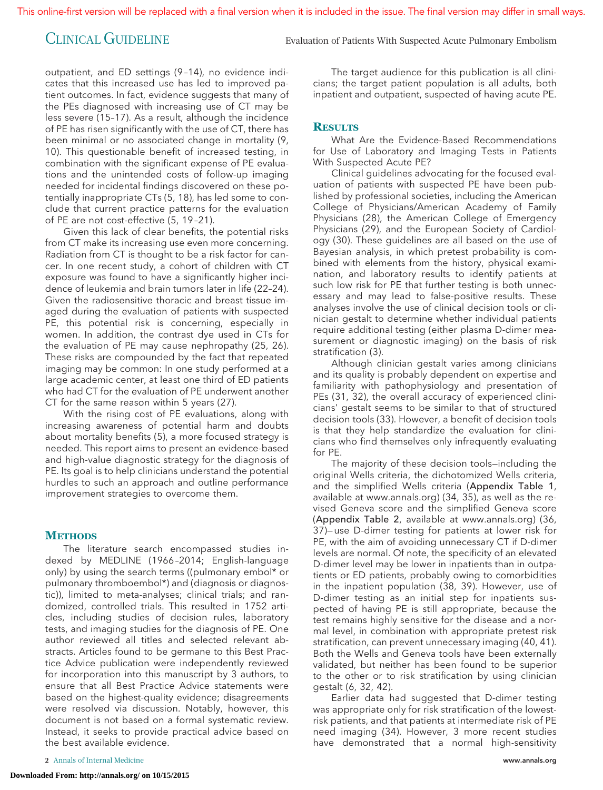outpatient, and ED settings (9 –14), no evidence indicates that this increased use has led to improved patient outcomes. In fact, evidence suggests that many of the PEs diagnosed with increasing use of CT may be less severe (15–17). As a result, although the incidence of PE has risen significantly with the use of CT, there has been minimal or no associated change in mortality (9, 10). This questionable benefit of increased testing, in combination with the significant expense of PE evaluations and the unintended costs of follow-up imaging needed for incidental findings discovered on these potentially inappropriate CTs (5, 18), has led some to conclude that current practice patterns for the evaluation of PE are not cost-effective (5, 19 –21).

Given this lack of clear benefits, the potential risks from CT make its increasing use even more concerning. Radiation from CT is thought to be a risk factor for cancer. In one recent study, a cohort of children with CT exposure was found to have a significantly higher incidence of leukemia and brain tumors later in life (22–24). Given the radiosensitive thoracic and breast tissue imaged during the evaluation of patients with suspected PE, this potential risk is concerning, especially in women. In addition, the contrast dye used in CTs for the evaluation of PE may cause nephropathy (25, 26). These risks are compounded by the fact that repeated imaging may be common: In one study performed at a large academic center, at least one third of ED patients who had CT for the evaluation of PE underwent another CT for the same reason within 5 years (27).

With the rising cost of PE evaluations, along with increasing awareness of potential harm and doubts about mortality benefits (5), a more focused strategy is needed. This report aims to present an evidence-based and high-value diagnostic strategy for the diagnosis of PE. Its goal is to help clinicians understand the potential hurdles to such an approach and outline performance improvement strategies to overcome them.

# **METHODS**

The literature search encompassed studies indexed by MEDLINE (1966 –2014; English-language only) by using the search terms ((pulmonary embol\* or pulmonary thromboembol\*) and (diagnosis or diagnostic)), limited to meta-analyses; clinical trials; and randomized, controlled trials. This resulted in 1752 articles, including studies of decision rules, laboratory tests, and imaging studies for the diagnosis of PE. One author reviewed all titles and selected relevant abstracts. Articles found to be germane to this Best Practice Advice publication were independently reviewed for incorporation into this manuscript by 3 authors, to ensure that all Best Practice Advice statements were based on the highest-quality evidence; disagreements were resolved via discussion. Notably, however, this document is not based on a formal systematic review. Instead, it seeks to provide practical advice based on the best available evidence.

**2** Annals of Internal Medicine www.annals.org

**Downloaded From: http://annals.org/ on 10/15/2015**

The target audience for this publication is all clinicians; the target patient population is all adults, both inpatient and outpatient, suspected of having acute PE.

# **RESULTS**

What Are the Evidence-Based Recommendations for Use of Laboratory and Imaging Tests in Patients With Suspected Acute PE?

Clinical guidelines advocating for the focused evaluation of patients with suspected PE have been published by professional societies, including the American College of Physicians/American Academy of Family Physicians (28), the American College of Emergency Physicians (29), and the European Society of Cardiology (30). These guidelines are all based on the use of Bayesian analysis, in which pretest probability is combined with elements from the history, physical examination, and laboratory results to identify patients at such low risk for PE that further testing is both unnecessary and may lead to false-positive results. These analyses involve the use of clinical decision tools or clinician gestalt to determine whether individual patients require additional testing (either plasma D-dimer measurement or diagnostic imaging) on the basis of risk stratification (3).

Although clinician gestalt varies among clinicians and its quality is probably dependent on expertise and familiarity with pathophysiology and presentation of PEs (31, 32), the overall accuracy of experienced clinicians' gestalt seems to be similar to that of structured decision tools (33). However, a benefit of decision tools is that they help standardize the evaluation for clinicians who find themselves only infrequently evaluating for PE.

The majority of these decision tools—including the original Wells criteria, the dichotomized Wells criteria, and the simplified Wells criteria (Appendix Table 1, available at [www.annals.org\)](http://www.annals.org) (34, 35), as well as the revised Geneva score and the simplified Geneva score (Appendix Table 2, available at [www.annals.org\)](http://www.annals.org) (36, 37)— use D-dimer testing for patients at lower risk for PE, with the aim of avoiding unnecessary CT if D-dimer levels are normal. Of note, the specificity of an elevated D-dimer level may be lower in inpatients than in outpatients or ED patients, probably owing to comorbidities in the inpatient population (38, 39). However, use of D-dimer testing as an initial step for inpatients suspected of having PE is still appropriate, because the test remains highly sensitive for the disease and a normal level, in combination with appropriate pretest risk stratification, can prevent unnecessary imaging (40, 41). Both the Wells and Geneva tools have been externally validated, but neither has been found to be superior to the other or to risk stratification by using clinician gestalt (6, 32, 42).

Earlier data had suggested that D-dimer testing was appropriate only for risk stratification of the lowestrisk patients, and that patients at intermediate risk of PE need imaging (34). However, 3 more recent studies have demonstrated that a normal high-sensitivity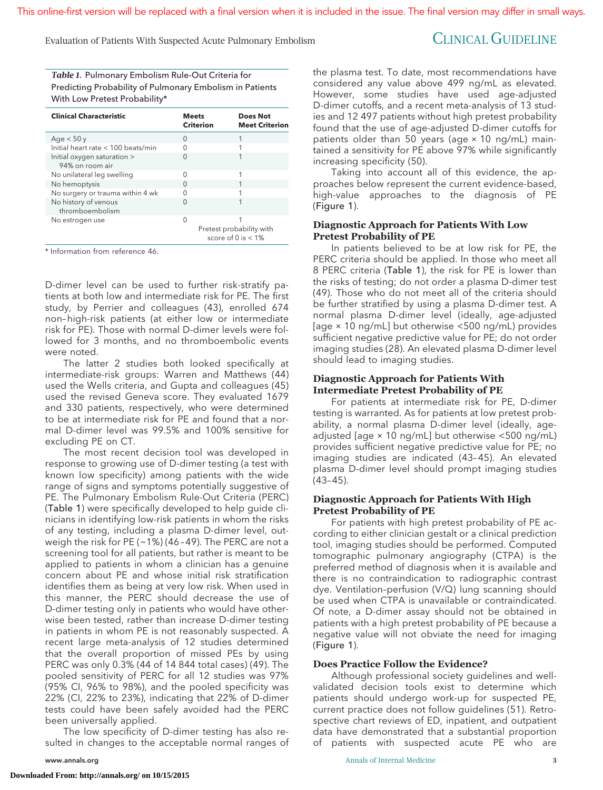Evaluation of Patients With Suspected Acute Pulmonary Embolism CLINICAL GUIDELINE

*Table 1.* Pulmonary Embolism Rule-Out Criteria for Predicting Probability of Pulmonary Embolism in Patients With Low Pretest Probability\*

| <b>Clinical Characteristic</b>                 | <b>Meets</b><br><b>Criterion</b> | <b>Does Not</b><br><b>Meet Criterion</b>          |
|------------------------------------------------|----------------------------------|---------------------------------------------------|
| Age $<$ 50 y                                   | O                                |                                                   |
| Initial heart rate $<$ 100 beats/min           |                                  |                                                   |
| Initial oxygen saturation ><br>94% on room air | n                                |                                                   |
| No unilateral leg swelling                     | $\Omega$                         |                                                   |
| No hemoptysis                                  | U                                |                                                   |
| No surgery or trauma within 4 wk               |                                  |                                                   |
| No history of venous<br>thromboembolism        | U                                |                                                   |
| No estrogen use                                | O                                |                                                   |
|                                                |                                  | Pretest probability with<br>score of 0 is $< 1\%$ |

\* Information from reference 46.

D-dimer level can be used to further risk-stratify patients at both low and intermediate risk for PE. The first study, by Perrier and colleagues (43), enrolled 674 non– high-risk patients (at either low or intermediate risk for PE). Those with normal D-dimer levels were followed for 3 months, and no thromboembolic events were noted.

The latter 2 studies both looked specifically at intermediate-risk groups: Warren and Matthews (44) used the Wells criteria, and Gupta and colleagues (45) used the revised Geneva score. They evaluated 1679 and 330 patients, respectively, who were determined to be at intermediate risk for PE and found that a normal D-dimer level was 99.5% and 100% sensitive for excluding PE on CT.

The most recent decision tool was developed in response to growing use of D-dimer testing (a test with known low specificity) among patients with the wide range of signs and symptoms potentially suggestive of PE. The Pulmonary Embolism Rule-Out Criteria (PERC) (Table 1) were specifically developed to help guide clinicians in identifying low-risk patients in whom the risks of any testing, including a plasma D-dimer level, outweigh the risk for PE ( $\sim$ 1%) (46-49). The PERC are not a screening tool for all patients, but rather is meant to be applied to patients in whom a clinician has a genuine concern about PE and whose initial risk stratification identifies them as being at very low risk. When used in this manner, the PERC should decrease the use of D-dimer testing only in patients who would have otherwise been tested, rather than increase D-dimer testing in patients in whom PE is not reasonably suspected. A recent large meta-analysis of 12 studies determined that the overall proportion of missed PEs by using PERC was only 0.3% (44 of 14 844 total cases) (49). The pooled sensitivity of PERC for all 12 studies was 97% (95% CI, 96% to 98%), and the pooled specificity was 22% (CI, 22% to 23%), indicating that 22% of D-dimer tests could have been safely avoided had the PERC been universally applied.

The low specificity of D-dimer testing has also resulted in changes to the acceptable normal ranges of the plasma test. To date, most recommendations have considered any value above 499 ng/mL as elevated. However, some studies have used age-adjusted D-dimer cutoffs, and a recent meta-analysis of 13 studies and 12 497 patients without high pretest probability found that the use of age-adjusted D-dimer cutoffs for patients older than 50 years (age × 10 ng/mL) maintained a sensitivity for PE above 97% while significantly increasing specificity (50).

Taking into account all of this evidence, the approaches below represent the current evidence-based, high-value approaches to the diagnosis of PE (Figure 1).

# **Diagnostic Approach for Patients With Low Pretest Probability of PE**

In patients believed to be at low risk for PE, the PERC criteria should be applied. In those who meet all 8 PERC criteria (Table 1), the risk for PE is lower than the risks of testing; do not order a plasma D-dimer test (49). Those who do not meet all of the criteria should be further stratified by using a plasma D-dimer test. A normal plasma D-dimer level (ideally, age-adjusted [age × 10 ng/mL] but otherwise <500 ng/mL) provides sufficient negative predictive value for PE; do not order imaging studies (28). An elevated plasma D-dimer level should lead to imaging studies.

## **Diagnostic Approach for Patients With Intermediate Pretest Probability of PE**

For patients at intermediate risk for PE, D-dimer testing is warranted. As for patients at low pretest probability, a normal plasma D-dimer level (ideally, ageadjusted [age × 10 ng/mL] but otherwise <500 ng/mL) provides sufficient negative predictive value for PE; no imaging studies are indicated (43– 45). An elevated plasma D-dimer level should prompt imaging studies  $(43 - 45)$ .

# **Diagnostic Approach for Patients With High Pretest Probability of PE**

For patients with high pretest probability of PE according to either clinician gestalt or a clinical prediction tool, imaging studies should be performed. Computed tomographic pulmonary angiography (CTPA) is the preferred method of diagnosis when it is available and there is no contraindication to radiographic contrast dye. Ventilation–perfusion (V/Q) lung scanning should be used when CTPA is unavailable or contraindicated. Of note, a D-dimer assay should not be obtained in patients with a high pretest probability of PE because a negative value will not obviate the need for imaging (Figure 1).

# **Does Practice Follow the Evidence?**

Although professional society guidelines and wellvalidated decision tools exist to determine which patients should undergo work-up for suspected PE, current practice does not follow guidelines (51). Retrospective chart reviews of ED, inpatient, and outpatient data have demonstrated that a substantial proportion of patients with suspected acute PE who are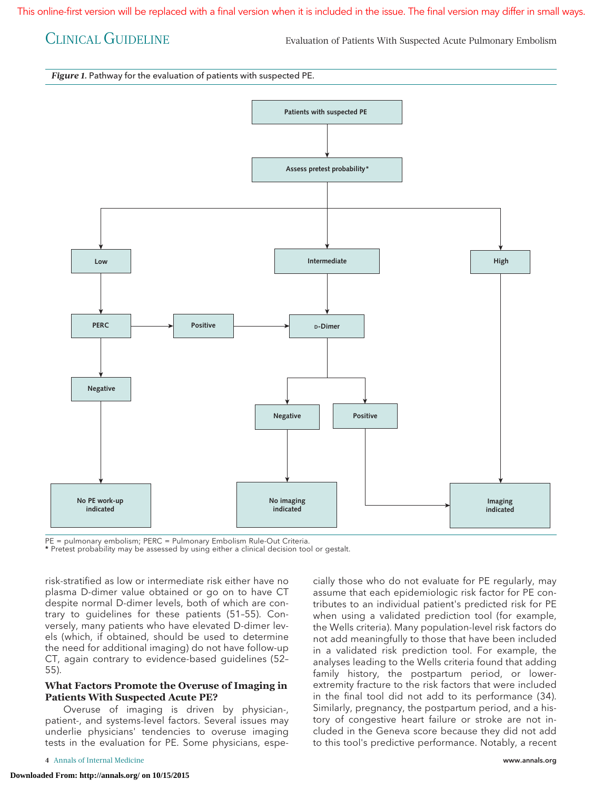CLINICAL GUIDELINE Evaluation of Patients With Suspected Acute Pulmonary Embolism

*Figure 1.* Pathway for the evaluation of patients with suspected PE.



PE = pulmonary embolism; PERC = Pulmonary Embolism Rule-Out Criteria.

\* Pretest probability may be assessed by using either a clinical decision tool or gestalt.

risk-stratified as low or intermediate risk either have no plasma D-dimer value obtained or go on to have CT despite normal D-dimer levels, both of which are contrary to guidelines for these patients (51–55). Conversely, many patients who have elevated D-dimer levels (which, if obtained, should be used to determine the need for additional imaging) do not have follow-up CT, again contrary to evidence-based guidelines (52– 55).

## **What Factors Promote the Overuse of Imaging in Patients With Suspected Acute PE?**

Overuse of imaging is driven by physician-, patient-, and systems-level factors. Several issues may underlie physicians' tendencies to overuse imaging tests in the evaluation for PE. Some physicians, espe-

assume that each epidemiologic risk factor for PE contributes to an individual patient's predicted risk for PE when using a validated prediction tool (for example, the Wells criteria). Many population-level risk factors do not add meaningfully to those that have been included in a validated risk prediction tool. For example, the analyses leading to the Wells criteria found that adding family history, the postpartum period, or lowerextremity fracture to the risk factors that were included in the final tool did not add to its performance (34). Similarly, pregnancy, the postpartum period, and a history of congestive heart failure or stroke are not included in the Geneva score because they did not add to this tool's predictive performance. Notably, a recent

cially those who do not evaluate for PE regularly, may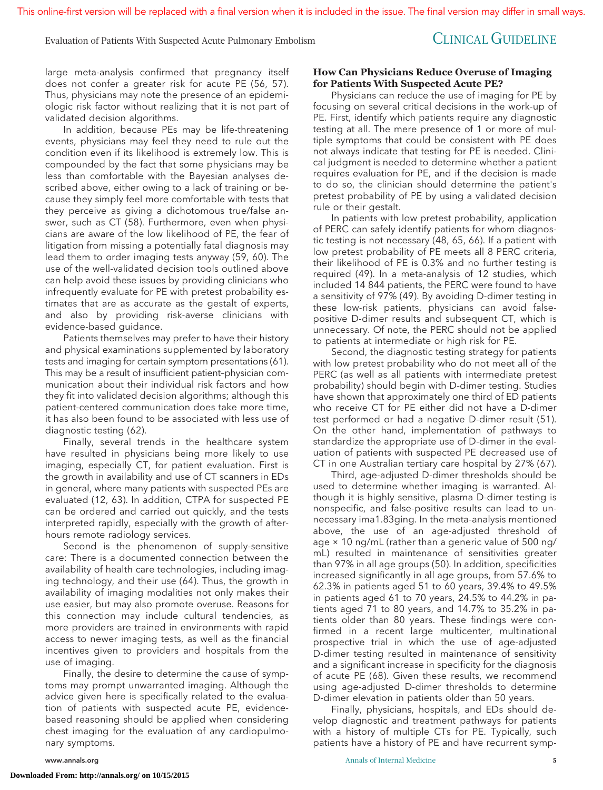# Evaluation of Patients With Suspected Acute Pulmonary Embolism CLINICAL GUIDELINE

large meta-analysis confirmed that pregnancy itself does not confer a greater risk for acute PE (56, 57). Thus, physicians may note the presence of an epidemiologic risk factor without realizing that it is not part of validated decision algorithms.

In addition, because PEs may be life-threatening events, physicians may feel they need to rule out the condition even if its likelihood is extremely low. This is compounded by the fact that some physicians may be less than comfortable with the Bayesian analyses described above, either owing to a lack of training or because they simply feel more comfortable with tests that they perceive as giving a dichotomous true/false answer, such as CT (58). Furthermore, even when physicians are aware of the low likelihood of PE, the fear of litigation from missing a potentially fatal diagnosis may lead them to order imaging tests anyway (59, 60). The use of the well-validated decision tools outlined above can help avoid these issues by providing clinicians who infrequently evaluate for PE with pretest probability estimates that are as accurate as the gestalt of experts, and also by providing risk-averse clinicians with evidence-based guidance.

Patients themselves may prefer to have their history and physical examinations supplemented by laboratory tests and imaging for certain symptom presentations (61). This may be a result of insufficient patient–physician communication about their individual risk factors and how they fit into validated decision algorithms; although this patient-centered communication does take more time, it has also been found to be associated with less use of diagnostic testing (62).

Finally, several trends in the healthcare system have resulted in physicians being more likely to use imaging, especially CT, for patient evaluation. First is the growth in availability and use of CT scanners in EDs in general, where many patients with suspected PEs are evaluated (12, 63). In addition, CTPA for suspected PE can be ordered and carried out quickly, and the tests interpreted rapidly, especially with the growth of afterhours remote radiology services.

Second is the phenomenon of supply-sensitive care: There is a documented connection between the availability of health care technologies, including imaging technology, and their use (64). Thus, the growth in availability of imaging modalities not only makes their use easier, but may also promote overuse. Reasons for this connection may include cultural tendencies, as more providers are trained in environments with rapid access to newer imaging tests, as well as the financial incentives given to providers and hospitals from the use of imaging.

Finally, the desire to determine the cause of symptoms may prompt unwarranted imaging. Although the advice given here is specifically related to the evaluation of patients with suspected acute PE, evidencebased reasoning should be applied when considering chest imaging for the evaluation of any cardiopulmonary symptoms.

## **How Can Physicians Reduce Overuse of Imaging for Patients With Suspected Acute PE?**

Physicians can reduce the use of imaging for PE by focusing on several critical decisions in the work-up of PE. First, identify which patients require any diagnostic testing at all. The mere presence of 1 or more of multiple symptoms that could be consistent with PE does not always indicate that testing for PE is needed. Clinical judgment is needed to determine whether a patient requires evaluation for PE, and if the decision is made to do so, the clinician should determine the patient's pretest probability of PE by using a validated decision rule or their gestalt.

In patients with low pretest probability, application of PERC can safely identify patients for whom diagnostic testing is not necessary (48, 65, 66). If a patient with low pretest probability of PE meets all 8 PERC criteria, their likelihood of PE is 0.3% and no further testing is required (49). In a meta-analysis of 12 studies, which included 14 844 patients, the PERC were found to have a sensitivity of 97% (49). By avoiding D-dimer testing in these low-risk patients, physicians can avoid falsepositive D-dimer results and subsequent CT, which is unnecessary. Of note, the PERC should not be applied to patients at intermediate or high risk for PE.

Second, the diagnostic testing strategy for patients with low pretest probability who do not meet all of the PERC (as well as all patients with intermediate pretest probability) should begin with D-dimer testing. Studies have shown that approximately one third of ED patients who receive CT for PE either did not have a D-dimer test performed or had a negative D-dimer result (51). On the other hand, implementation of pathways to standardize the appropriate use of D-dimer in the evaluation of patients with suspected PE decreased use of CT in one Australian tertiary care hospital by 27% (67).

Third, age-adjusted D-dimer thresholds should be used to determine whether imaging is warranted. Although it is highly sensitive, plasma D-dimer testing is nonspecific, and false-positive results can lead to unnecessary ima1.83ging. In the meta-analysis mentioned above, the use of an age-adjusted threshold of age × 10 ng/mL (rather than a generic value of 500 ng/ mL) resulted in maintenance of sensitivities greater than 97% in all age groups (50). In addition, specificities increased significantly in all age groups, from 57.6% to 62.3% in patients aged 51 to 60 years, 39.4% to 49.5% in patients aged 61 to 70 years, 24.5% to 44.2% in patients aged 71 to 80 years, and 14.7% to 35.2% in patients older than 80 years. These findings were confirmed in a recent large multicenter, multinational prospective trial in which the use of age-adjusted D-dimer testing resulted in maintenance of sensitivity and a significant increase in specificity for the diagnosis of acute PE (68). Given these results, we recommend using age-adjusted D-dimer thresholds to determine D-dimer elevation in patients older than 50 years.

Finally, physicians, hospitals, and EDs should develop diagnostic and treatment pathways for patients with a history of multiple CTs for PE. Typically, such patients have a history of PE and have recurrent symp-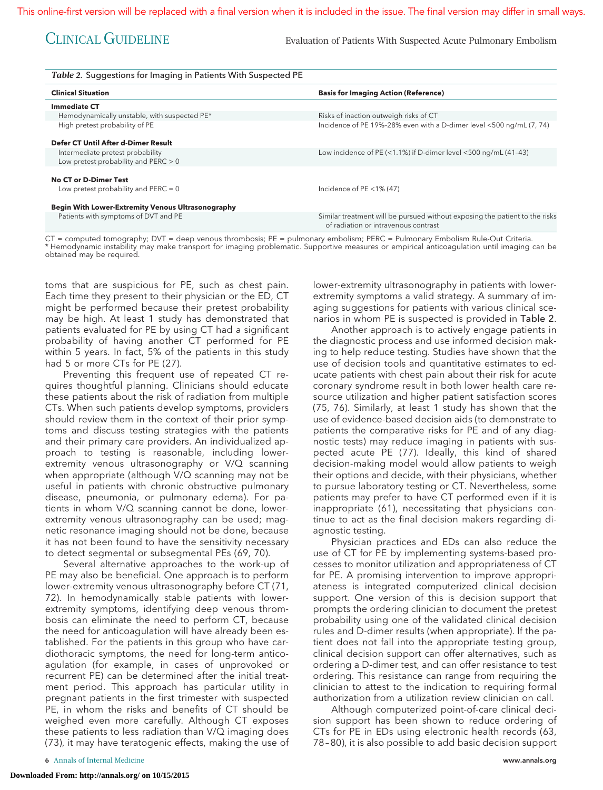CLINICAL GUIDELINE Evaluation of Patients With Suspected Acute Pulmonary Embolism

| Table 2. Suggestions for Imaging in Patients With Suspected PE |                                                                                                                     |  |  |
|----------------------------------------------------------------|---------------------------------------------------------------------------------------------------------------------|--|--|
| <b>Clinical Situation</b>                                      | <b>Basis for Imaging Action (Reference)</b>                                                                         |  |  |
| <b>Immediate CT</b>                                            |                                                                                                                     |  |  |
| Hemodynamically unstable, with suspected PE*                   | Risks of inaction outweigh risks of CT                                                                              |  |  |
| High pretest probability of PE                                 | Incidence of PE 19%-28% even with a D-dimer level <500 ng/mL (7, 74)                                                |  |  |
| Defer CT Until After d-Dimer Result                            |                                                                                                                     |  |  |
| Intermediate pretest probability                               | Low incidence of PE (<1.1%) if D-dimer level $\leq$ 500 ng/mL (41-43)                                               |  |  |
| Low pretest probability and $PERC > 0$                         |                                                                                                                     |  |  |
| <b>No CT or D-Dimer Test</b>                                   |                                                                                                                     |  |  |
| Low pretest probability and $PERC = 0$                         | Incidence of $PE < 1\% (47)$                                                                                        |  |  |
| <b>Begin With Lower-Extremity Venous Ultrasonography</b>       |                                                                                                                     |  |  |
| Patients with symptoms of DVT and PE                           | Similar treatment will be pursued without exposing the patient to the risks<br>of radiation or intravenous contrast |  |  |

CT = computed tomography; DVT = deep venous thrombosis; PE = pulmonary embolism; PERC = Pulmonary Embolism Rule-Out Criteria. \* Hemodynamic instability may make transport for imaging problematic. Supportive measures or empirical anticoagulation until imaging can be obtained may be required.

toms that are suspicious for PE, such as chest pain. Each time they present to their physician or the ED, CT might be performed because their pretest probability may be high. At least 1 study has demonstrated that patients evaluated for PE by using CT had a significant probability of having another CT performed for PE within 5 years. In fact, 5% of the patients in this study had 5 or more CTs for PE (27).

Preventing this frequent use of repeated CT requires thoughtful planning. Clinicians should educate these patients about the risk of radiation from multiple CTs. When such patients develop symptoms, providers should review them in the context of their prior symptoms and discuss testing strategies with the patients and their primary care providers. An individualized approach to testing is reasonable, including lowerextremity venous ultrasonography or V/Q scanning when appropriate (although V/Q scanning may not be useful in patients with chronic obstructive pulmonary disease, pneumonia, or pulmonary edema). For patients in whom V/Q scanning cannot be done, lowerextremity venous ultrasonography can be used; magnetic resonance imaging should not be done, because it has not been found to have the sensitivity necessary to detect segmental or subsegmental PEs (69, 70).

Several alternative approaches to the work-up of PE may also be beneficial. One approach is to perform lower-extremity venous ultrasonography before CT (71, 72). In hemodynamically stable patients with lowerextremity symptoms, identifying deep venous thrombosis can eliminate the need to perform CT, because the need for anticoagulation will have already been established. For the patients in this group who have cardiothoracic symptoms, the need for long-term anticoagulation (for example, in cases of unprovoked or recurrent PE) can be determined after the initial treatment period. This approach has particular utility in pregnant patients in the first trimester with suspected PE, in whom the risks and benefits of CT should be weighed even more carefully. Although CT exposes these patients to less radiation than V/Q imaging does (73), it may have teratogenic effects, making the use of lower-extremity ultrasonography in patients with lowerextremity symptoms a valid strategy. A summary of imaging suggestions for patients with various clinical scenarios in whom PE is suspected is provided in Table 2.

Another approach is to actively engage patients in the diagnostic process and use informed decision making to help reduce testing. Studies have shown that the use of decision tools and quantitative estimates to educate patients with chest pain about their risk for acute coronary syndrome result in both lower health care resource utilization and higher patient satisfaction scores (75, 76). Similarly, at least 1 study has shown that the use of evidence-based decision aids (to demonstrate to patients the comparative risks for PE and of any diagnostic tests) may reduce imaging in patients with suspected acute PE (77). Ideally, this kind of shared decision-making model would allow patients to weigh their options and decide, with their physicians, whether to pursue laboratory testing or CT. Nevertheless, some patients may prefer to have CT performed even if it is inappropriate (61), necessitating that physicians continue to act as the final decision makers regarding diagnostic testing.

Physician practices and EDs can also reduce the use of CT for PE by implementing systems-based processes to monitor utilization and appropriateness of CT for PE. A promising intervention to improve appropriateness is integrated computerized clinical decision support. One version of this is decision support that prompts the ordering clinician to document the pretest probability using one of the validated clinical decision rules and D-dimer results (when appropriate). If the patient does not fall into the appropriate testing group, clinical decision support can offer alternatives, such as ordering a D-dimer test, and can offer resistance to test ordering. This resistance can range from requiring the clinician to attest to the indication to requiring formal authorization from a utilization review clinician on call.

Although computerized point-of-care clinical decision support has been shown to reduce ordering of CTs for PE in EDs using electronic health records (63, 78 – 80), it is also possible to add basic decision support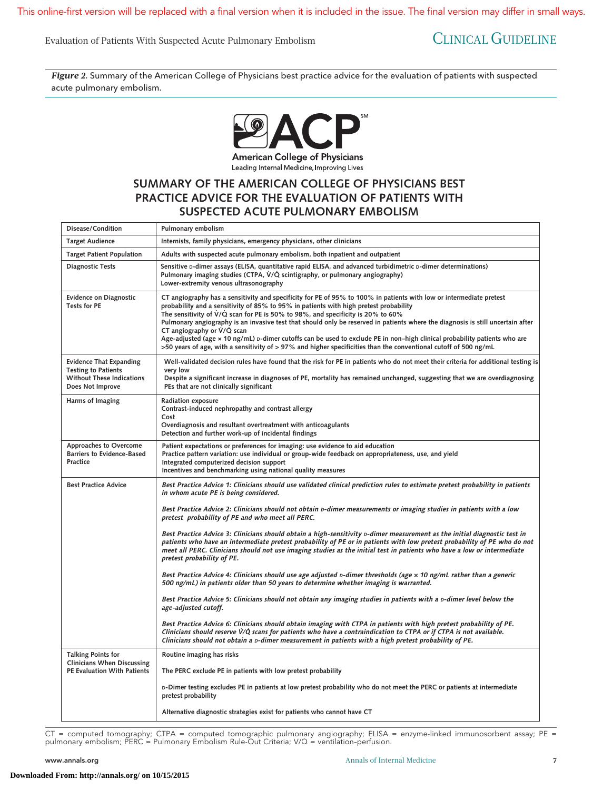This online-first version will be replaced with a final version when it is included in the issue. The final version may differ in small ways.

Evaluation of Patients With Suspected Acute Pulmonary Embolism CLINICAL GUIDELINE

*Figure 2.* Summary of the American College of Physicians best practice advice for the evaluation of patients with suspected acute pulmonary embolism.



Leading Internal Medicine, Improving Lives

# **SUMMARY OF THE AMERICAN COLLEGE OF PHYSICIANS BEST PRACTICE ADVICE FOR THE EVALUATION OF PATIENTS WITH SUSPECTED ACUTE PULMONARY EMBOLISM**

| Disease/Condition                                                                                                    | Pulmonary embolism                                                                                                                                                                                                                                                                                                                                                                                                                                                                                                                                                                                                                                                                                                    |
|----------------------------------------------------------------------------------------------------------------------|-----------------------------------------------------------------------------------------------------------------------------------------------------------------------------------------------------------------------------------------------------------------------------------------------------------------------------------------------------------------------------------------------------------------------------------------------------------------------------------------------------------------------------------------------------------------------------------------------------------------------------------------------------------------------------------------------------------------------|
| <b>Target Audience</b>                                                                                               | Internists, family physicians, emergency physicians, other clinicians                                                                                                                                                                                                                                                                                                                                                                                                                                                                                                                                                                                                                                                 |
| <b>Target Patient Population</b>                                                                                     | Adults with suspected acute pulmonary embolism, both inpatient and outpatient                                                                                                                                                                                                                                                                                                                                                                                                                                                                                                                                                                                                                                         |
| Diagnostic Tests                                                                                                     | Sensitive D-dimer assays (ELISA, quantitative rapid ELISA, and advanced turbidimetric D-dimer determinations)<br>Pulmonary imaging studies (CTPA, V/Q scintigraphy, or pulmonary angiography)<br>Lower-extremity venous ultrasonography                                                                                                                                                                                                                                                                                                                                                                                                                                                                               |
| <b>Evidence on Diagnostic</b><br><b>Tests for PE</b>                                                                 | CT angiography has a sensitivity and specificity for PE of 95% to 100% in patients with low or intermediate pretest<br>probability and a sensitivity of 85% to 95% in patients with high pretest probability<br>The sensitivity of $V/Q$ scan for PE is 50% to 98%, and specificity is 20% to 60%<br>Pulmonary angiography is an invasive test that should only be reserved in patients where the diagnosis is still uncertain after<br>CT angiography or $V/Q$ scan<br>Age-adjusted (age x 10 ng/mL) p-dimer cutoffs can be used to exclude PE in non-high clinical probability patients who are<br>>50 years of age, with a sensitivity of > 97% and higher specificities than the conventional cutoff of 500 ng/mL |
| <b>Evidence That Expanding</b><br><b>Testing to Patients</b><br><b>Without These Indications</b><br>Does Not Improve | Well-validated decision rules have found that the risk for PE in patients who do not meet their criteria for additional testing is<br>very low<br>Despite a significant increase in diagnoses of PE, mortality has remained unchanged, suggesting that we are overdiagnosing<br>PEs that are not clinically significant                                                                                                                                                                                                                                                                                                                                                                                               |
| Harms of Imaging                                                                                                     | Radiation exposure<br>Contrast-induced nephropathy and contrast allergy<br>Cost<br>Overdiagnosis and resultant overtreatment with anticoagulants<br>Detection and further work-up of incidental findings                                                                                                                                                                                                                                                                                                                                                                                                                                                                                                              |
| Approaches to Overcome<br><b>Barriers to Evidence-Based</b><br>Practice                                              | Patient expectations or preferences for imaging: use evidence to aid education<br>Practice pattern variation: use individual or group-wide feedback on appropriateness, use, and yield<br>Integrated computerized decision support<br>Incentives and benchmarking using national quality measures                                                                                                                                                                                                                                                                                                                                                                                                                     |
| <b>Best Practice Advice</b>                                                                                          | Best Practice Advice 1: Clinicians should use validated clinical prediction rules to estimate pretest probability in patients<br>in whom acute PE is being considered.                                                                                                                                                                                                                                                                                                                                                                                                                                                                                                                                                |
|                                                                                                                      | Best Practice Advice 2: Clinicians should not obtain <i>p</i> -dimer measurements or imaging studies in patients with a low<br>pretest probability of PE and who meet all PERC.                                                                                                                                                                                                                                                                                                                                                                                                                                                                                                                                       |
|                                                                                                                      | Best Practice Advice 3: Clinicians should obtain a high-sensitivity p-dimer measurement as the initial diagnostic test in<br>patients who have an intermediate pretest probability of PE or in patients with low pretest probability of PE who do not<br>meet all PERC. Clinicians should not use imaging studies as the initial test in patients who have a low or intermediate<br>pretest probability of PE.                                                                                                                                                                                                                                                                                                        |
|                                                                                                                      | Best Practice Advice 4: Clinicians should use age adjusted <i>p</i> -dimer thresholds (age x 10 ng/mL rather than a generic<br>500 ng/mL) in patients older than 50 years to determine whether imaging is warranted.                                                                                                                                                                                                                                                                                                                                                                                                                                                                                                  |
|                                                                                                                      | Best Practice Advice 5: Clinicians should not obtain any imaging studies in patients with a D-dimer level below the<br>age-adjusted cutoff.                                                                                                                                                                                                                                                                                                                                                                                                                                                                                                                                                                           |
|                                                                                                                      | Best Practice Advice 6: Clinicians should obtain imaging with CTPA in patients with high pretest probability of PE.<br>Clinicians should reserve V/Q scans for patients who have a contraindication to CTPA or if CTPA is not available.<br>Clinicians should not obtain a <i>p</i> -dimer measurement in patients with a high pretest probability of PE.                                                                                                                                                                                                                                                                                                                                                             |
| <b>Talking Points for</b>                                                                                            | Routine imaging has risks                                                                                                                                                                                                                                                                                                                                                                                                                                                                                                                                                                                                                                                                                             |
| <b>Clinicians When Discussing</b><br><b>PE Evaluation With Patients</b>                                              | The PERC exclude PE in patients with low pretest probability                                                                                                                                                                                                                                                                                                                                                                                                                                                                                                                                                                                                                                                          |
|                                                                                                                      | D-Dimer testing excludes PE in patients at low pretest probability who do not meet the PERC or patients at intermediate<br>pretest probability                                                                                                                                                                                                                                                                                                                                                                                                                                                                                                                                                                        |
|                                                                                                                      | Alternative diagnostic strategies exist for patients who cannot have CT                                                                                                                                                                                                                                                                                                                                                                                                                                                                                                                                                                                                                                               |

CT = computed tomography; CTPA = computed tomographic pulmonary angiography; ELISA = enzyme-linked immunosorbent assay; PE = pulmonary embolism; PERC = Pulmonary Embolism Rule-Out Criteria; V/Q = ventilation–perfusion.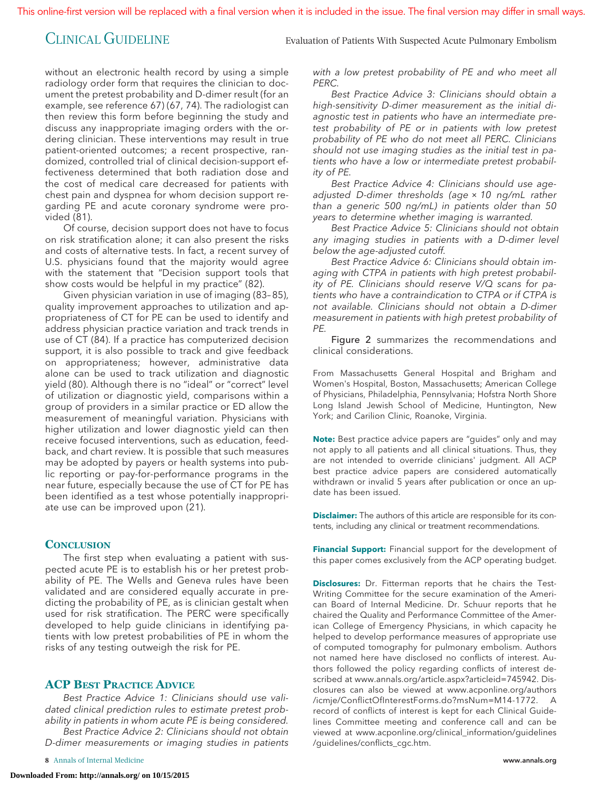CLINICAL GUIDELINE Evaluation of Patients With Suspected Acute Pulmonary Embolism

without an electronic health record by using a simple radiology order form that requires the clinician to document the pretest probability and D-dimer result (for an example, see reference 67) (67, 74). The radiologist can then review this form before beginning the study and discuss any inappropriate imaging orders with the ordering clinician. These interventions may result in true patient-oriented outcomes; a recent prospective, randomized, controlled trial of clinical decision-support effectiveness determined that both radiation dose and the cost of medical care decreased for patients with chest pain and dyspnea for whom decision support regarding PE and acute coronary syndrome were provided (81).

Of course, decision support does not have to focus on risk stratification alone; it can also present the risks and costs of alternative tests. In fact, a recent survey of U.S. physicians found that the majority would agree with the statement that "Decision support tools that show costs would be helpful in my practice" (82).

Given physician variation in use of imaging (83– 85), quality improvement approaches to utilization and appropriateness of CT for PE can be used to identify and address physician practice variation and track trends in use of CT (84). If a practice has computerized decision support, it is also possible to track and give feedback on appropriateness; however, administrative data alone can be used to track utilization and diagnostic yield (80). Although there is no "ideal" or "correct" level of utilization or diagnostic yield, comparisons within a group of providers in a similar practice or ED allow the measurement of meaningful variation. Physicians with higher utilization and lower diagnostic yield can then receive focused interventions, such as education, feedback, and chart review. It is possible that such measures may be adopted by payers or health systems into public reporting or pay-for-performance programs in the near future, especially because the use of CT for PE has been identified as a test whose potentially inappropriate use can be improved upon (21).

## **CONCLUSION**

The first step when evaluating a patient with suspected acute PE is to establish his or her pretest probability of PE. The Wells and Geneva rules have been validated and are considered equally accurate in predicting the probability of PE, as is clinician gestalt when used for risk stratification. The PERC were specifically developed to help guide clinicians in identifying patients with low pretest probabilities of PE in whom the risks of any testing outweigh the risk for PE.

# **ACP BEST PRACTICE ADVICE**

Best Practice Advice 1: Clinicians should use validated clinical prediction rules to estimate pretest probability in patients in whom acute PE is being considered.

Best Practice Advice 2: Clinicians should not obtain D-dimer measurements or imaging studies in patients with a low pretest probability of PE and who meet all PERC.

Best Practice Advice 3: Clinicians should obtain a high-sensitivity D-dimer measurement as the initial diagnostic test in patients who have an intermediate pretest probability of PE or in patients with low pretest probability of PE who do not meet all PERC. Clinicians should not use imaging studies as the initial test in patients who have a low or intermediate pretest probability of PE.

Best Practice Advice 4: Clinicians should use ageadjusted D-dimer thresholds (age × 10 ng/mL rather than a generic 500 ng/mL) in patients older than 50 years to determine whether imaging is warranted.

Best Practice Advice 5: Clinicians should not obtain any imaging studies in patients with a D-dimer level below the age-adjusted cutoff.

Best Practice Advice 6: Clinicians should obtain imaging with CTPA in patients with high pretest probability of PE. Clinicians should reserve V/Q scans for patients who have a contraindication to CTPA or if CTPA is not available. Clinicians should not obtain a D-dimer measurement in patients with high pretest probability of PE.

Figure 2 summarizes the recommendations and clinical considerations.

From Massachusetts General Hospital and Brigham and Women's Hospital, Boston, Massachusetts; American College of Physicians, Philadelphia, Pennsylvania; Hofstra North Shore Long Island Jewish School of Medicine, Huntington, New York; and Carilion Clinic, Roanoke, Virginia.

**Note:** Best practice advice papers are "guides" only and may not apply to all patients and all clinical situations. Thus, they are not intended to override clinicians' judgment. All ACP best practice advice papers are considered automatically withdrawn or invalid 5 years after publication or once an update has been issued.

**Disclaimer:** The authors of this article are responsible for its contents, including any clinical or treatment recommendations.

**Financial Support:** Financial support for the development of this paper comes exclusively from the ACP operating budget.

**Disclosures:** Dr. Fitterman reports that he chairs the Test-Writing Committee for the secure examination of the American Board of Internal Medicine. Dr. Schuur reports that he chaired the Quality and Performance Committee of the American College of Emergency Physicians, in which capacity he helped to develop performance measures of appropriate use of computed tomography for pulmonary embolism. Authors not named here have disclosed no conflicts of interest. Authors followed the policy regarding conflicts of interest described at [www.annals.org/article.aspx?articleid=745942.](http://www.annals.org/article.aspx?articleid=745942) Disclosures can also be viewed at [www.acponline.org/authors](http://www.acponline.org/authors/icmje/ConflictOfInterestForms.do?msNum=M14-1772) [/icmje/ConflictOfInterestForms.do?msNum=M14-1772.](http://www.acponline.org/authors/icmje/ConflictOfInterestForms.do?msNum=M14-1772) A record of conflicts of interest is kept for each Clinical Guidelines Committee meeting and conference call and can be viewed at [www.acponline.org/clinical\\_information/guidelines](http://www.acponline.org/clinical_information/guidelines/guidelines/conflicts_cgc.htm) [/guidelines/conflicts\\_cgc.htm.](http://www.acponline.org/clinical_information/guidelines/guidelines/conflicts_cgc.htm)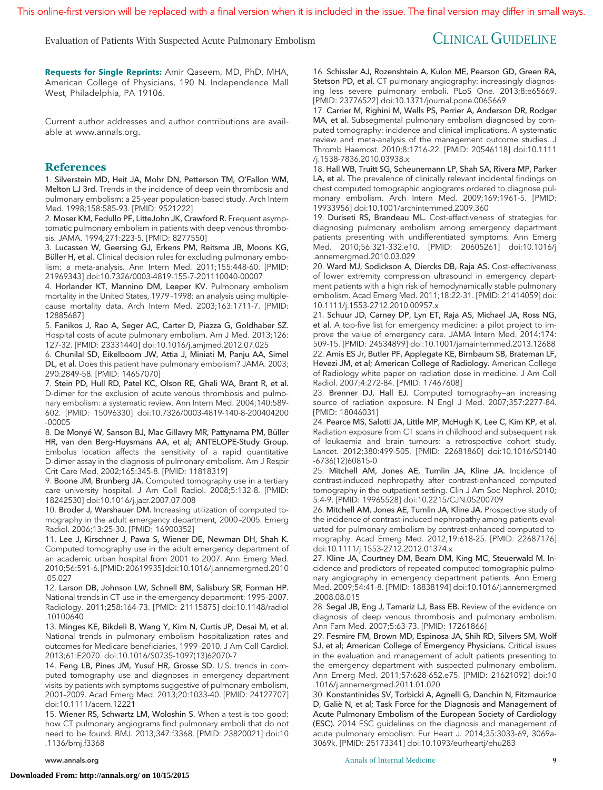Evaluation of Patients With Suspected Acute Pulmonary Embolism CLINICAL GUIDELINE

**Requests for Single Reprints:** Amir Qaseem, MD, PhD, MHA, American College of Physicians, 190 N. Independence Mall West, Philadelphia, PA 19106.

Current author addresses and author contributions are available at [www.annals.org.](http://www.annals.org)

### **References**

1. Silverstein MD, Heit JA, Mohr DN, Petterson TM, O'Fallon WM, Melton LJ 3rd. Trends in the incidence of deep vein thrombosis and pulmonary embolism: a 25-year population-based study. Arch Intern Med. 1998;158:585-93. [PMID: 9521222]

2. Moser KM, Fedullo PF, LitteJohn JK, Crawford R. Frequent asymptomatic pulmonary embolism in patients with deep venous thrombosis. JAMA. 1994;271:223-5. [PMID: 8277550]

3. Lucassen W, Geersing GJ, Erkens PM, Reitsma JB, Moons KG, Büller H, et al. Clinical decision rules for excluding pulmonary embolism: a meta-analysis. Ann Intern Med. 2011;155:448-60. [PMID: 21969343] doi:10.7326/0003-4819-155-7-201110040-00007

4. Horlander KT, Mannino DM, Leeper KV. Pulmonary embolism mortality in the United States, 1979 –1998: an analysis using multiplecause mortality data. Arch Intern Med. 2003;163:1711-7. [PMID: 12885687]

5. Fanikos J, Rao A, Seger AC, Carter D, Piazza G, Goldhaber SZ. Hospital costs of acute pulmonary embolism. Am J Med. 2013;126: 127-32. [PMID: 23331440] doi:10.1016/j.amjmed.2012.07.025

6. Chunilal SD, Eikelboom JW, Attia J, Miniati M, Panju AA, Simel DL, et al. Does this patient have pulmonary embolism? JAMA. 2003; 290:2849-58. [PMID: 14657070]

7. Stein PD, Hull RD, Patel KC, Olson RE, Ghali WA, Brant R, et al. D-dimer for the exclusion of acute venous thrombosis and pulmonary embolism: a systematic review. Ann Intern Med. 2004;140:589- 602. [PMID: 15096330] doi:10.7326/0003-4819-140-8-200404200 -00005

8. De Monyé W, Sanson BJ, Mac Gillavry MR, Pattynama PM, Büller HR, van den Berg-Huysmans AA, et al; ANTELOPE-Study Group. Embolus location affects the sensitivity of a rapid quantitative D-dimer assay in the diagnosis of pulmonary embolism. Am J Respir Crit Care Med. 2002;165:345-8. [PMID: 11818319]

9. Boone JM, Brunberg JA. Computed tomography use in a tertiary care university hospital. J Am Coll Radiol. 2008;5:132-8. [PMID: 18242530] doi:10.1016/j.jacr.2007.07.008

10. Broder J, Warshauer DM. Increasing utilization of computed tomography in the adult emergency department, 2000 –2005. Emerg Radiol. 2006;13:25-30. [PMID: 16900352]

11. Lee J, Kirschner J, Pawa S, Wiener DE, Newman DH, Shah K. Computed tomography use in the adult emergency department of an academic urban hospital from 2001 to 2007. Ann Emerg Med. 2010;56:591-6. [PMID:20619935]doi:10.1016/j.annemergmed.2010 .05.027

12. Larson DB, Johnson LW, Schnell BM, Salisbury SR, Forman HP. National trends in CT use in the emergency department: 1995–2007. Radiology. 2011;258:164-73. [PMID: 21115875] doi:10.1148/radiol .10100640

13. Minges KE, Bikdeli B, Wang Y, Kim N, Curtis JP, Desai M, et al. National trends in pulmonary embolism hospitalization rates and outcomes for Medicare beneficiaries, 1999 –2010. J Am Coll Cardiol. 2013;61:E2070. doi:10.1016/S0735-1097(13)62070-7

14. Feng LB, Pines JM, Yusuf HR, Grosse SD. U.S. trends in computed tomography use and diagnoses in emergency department visits by patients with symptoms suggestive of pulmonary embolism, 2001–2009. Acad Emerg Med. 2013;20:1033-40. [PMID: 24127707] doi:10.1111/acem.12221

15. Wiener RS, Schwartz LM, Woloshin S. When a test is too good: how CT pulmonary angiograms find pulmonary emboli that do not need to be found. BMJ. 2013;347:f3368. [PMID: 23820021] doi:10 .1136/bmj.f3368

16. Schissler AJ, Rozenshtein A, Kulon ME, Pearson GD, Green RA, Stetson PD, et al. CT pulmonary angiography: increasingly diagnosing less severe pulmonary emboli. PLoS One. 2013;8:e65669. [PMID: 23776522] doi:10.1371/journal.pone.0065669

17. Carrier M, Righini M, Wells PS, Perrier A, Anderson DR, Rodger MA, et al. Subsegmental pulmonary embolism diagnosed by computed tomography: incidence and clinical implications. A systematic review and meta-analysis of the management outcome studies. J Thromb Haemost. 2010;8:1716-22. [PMID: 20546118] doi:10.1111 /j.1538-7836.2010.03938.x

18. Hall WB, Truitt SG, Scheunemann LP, Shah SA, Rivera MP, Parker LA, et al. The prevalence of clinically relevant incidental findings on chest computed tomographic angiograms ordered to diagnose pulmonary embolism. Arch Intern Med. 2009;169:1961-5. [PMID: 19933956] doi:10.1001/archinternmed.2009.360

19. Duriseti RS, Brandeau ML. Cost-effectiveness of strategies for diagnosing pulmonary embolism among emergency department patients presenting with undifferentiated symptoms. Ann Emerg Med. 2010;56:321-332.e10. [PMID: 20605261] doi:10.1016/j .annemergmed.2010.03.029

20. Ward MJ, Sodickson A, Diercks DB, Raja AS. Cost-effectiveness of lower extremity compression ultrasound in emergency department patients with a high risk of hemodynamically stable pulmonary embolism. Acad Emerg Med. 2011;18:22-31. [PMID: 21414059] doi: 10.1111/j.1553-2712.2010.00957.x

21. Schuur JD, Carney DP, Lyn ET, Raja AS, Michael JA, Ross NG, et al. A top-five list for emergency medicine: a pilot project to improve the value of emergency care. JAMA Intern Med. 2014;174: 509-15. [PMID: 24534899] doi:10.1001/jamainternmed.2013.12688 22. Amis ES Jr, Butler PF, Applegate KE, Birnbaum SB, Brateman LF, Hevezi JM, et al; American College of Radiology. American College

of Radiology white paper on radiation dose in medicine. J Am Coll Radiol. 2007;4:272-84. [PMID: 17467608]

23. Brenner DJ, Hall EJ. Computed tomography—an increasing source of radiation exposure. N Engl J Med. 2007;357:2277-84. [PMID: 18046031]

24. Pearce MS, Salotti JA, Little MP, McHugh K, Lee C, Kim KP, et al. Radiation exposure from CT scans in childhood and subsequent risk of leukaemia and brain tumours: a retrospective cohort study. Lancet. 2012;380:499-505. [PMID: 22681860] doi:10.1016/S0140 -6736(12)60815-0

25. Mitchell AM, Jones AE, Tumlin JA, Kline JA. Incidence of contrast-induced nephropathy after contrast-enhanced computed tomography in the outpatient setting. Clin J Am Soc Nephrol. 2010; 5:4-9. [PMID: 19965528] doi:10.2215/CJN.05200709

26. Mitchell AM, Jones AE, Tumlin JA, Kline JA. Prospective study of the incidence of contrast-induced nephropathy among patients evaluated for pulmonary embolism by contrast-enhanced computed tomography. Acad Emerg Med. 2012;19:618-25. [PMID: 22687176] doi:10.1111/j.1553-2712.2012.01374.x

27. Kline JA, Courtney DM, Beam DM, King MC, Steuerwald M. Incidence and predictors of repeated computed tomographic pulmonary angiography in emergency department patients. Ann Emerg Med. 2009;54:41-8. [PMID: 18838194] doi:10.1016/j.annemergmed .2008.08.015

28. Segal JB, Eng J, Tamariz LJ, Bass EB. Review of the evidence on diagnosis of deep venous thrombosis and pulmonary embolism. Ann Fam Med. 2007;5:63-73. [PMID: 17261866]

29. Fesmire FM, Brown MD, Espinosa JA, Shih RD, Silvers SM, Wolf SJ, et al; American College of Emergency Physicians. Critical issues in the evaluation and management of adult patients presenting to the emergency department with suspected pulmonary embolism. Ann Emerg Med. 2011;57:628-652.e75. [PMID: 21621092] doi:10 .1016/j.annemergmed.2011.01.020

30. Konstantinides SV, Torbicki A, Agnelli G, Danchin N, Fitzmaurice D, Galiè N, et al; Task Force for the Diagnosis and Management of Acute Pulmonary Embolism of the European Society of Cardiology (ESC). 2014 ESC guidelines on the diagnosis and management of acute pulmonary embolism. Eur Heart J. 2014;35:3033-69, 3069a-3069k. [PMID: 25173341] doi:10.1093/eurheartj/ehu283

www.annals.org **Annals of Internal Medicine** 9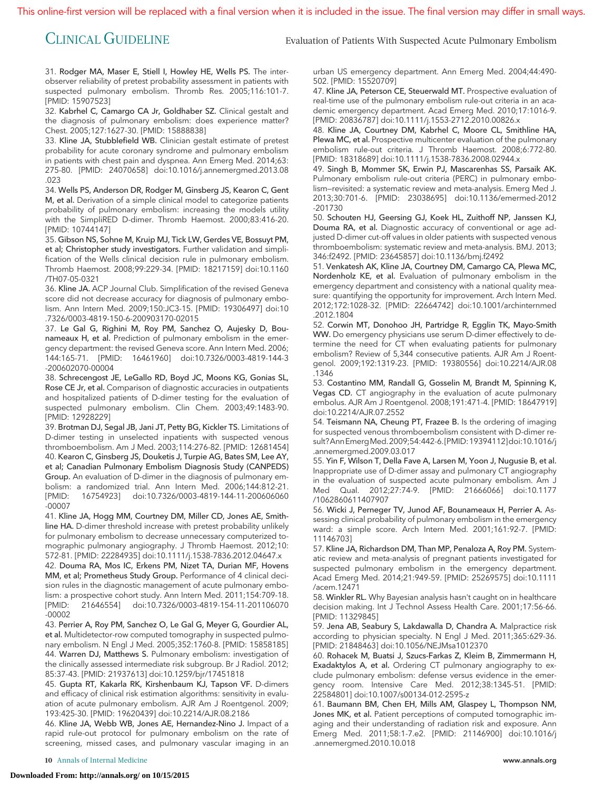This online-first version will be replaced with a final version when it is included in the issue. The final version may differ in small ways.

CLINICAL GUIDELINE Evaluation of Patients With Suspected Acute Pulmonary Embolism

31. Rodger MA, Maser E, Stiell I, Howley HE, Wells PS. The interobserver reliability of pretest probability assessment in patients with suspected pulmonary embolism. Thromb Res. 2005;116:101-7. [PMID: 15907523]

32. Kabrhel C, Camargo CA Jr, Goldhaber SZ. Clinical gestalt and the diagnosis of pulmonary embolism: does experience matter? Chest. 2005;127:1627-30. [PMID: 15888838]

33. Kline JA, Stubblefield WB. Clinician gestalt estimate of pretest probability for acute coronary syndrome and pulmonary embolism in patients with chest pain and dyspnea. Ann Emerg Med. 2014;63: 275-80. [PMID: 24070658] doi:10.1016/j.annemergmed.2013.08 .023

34. Wells PS, Anderson DR, Rodger M, Ginsberg JS, Kearon C, Gent M, et al. Derivation of a simple clinical model to categorize patients probability of pulmonary embolism: increasing the models utility with the SimpliRED D-dimer. Thromb Haemost. 2000;83:416-20. [PMID: 10744147]

35. Gibson NS, Sohne M, Kruip MJ, Tick LW, Gerdes VE, Bossuyt PM, et al; Christopher study investigators. Further validation and simplification of the Wells clinical decision rule in pulmonary embolism. Thromb Haemost. 2008;99:229-34. [PMID: 18217159] doi:10.1160 /TH07-05-0321

36. Kline JA. ACP Journal Club. Simplification of the revised Geneva score did not decrease accuracy for diagnosis of pulmonary embolism. Ann Intern Med. 2009;150:JC3-15. [PMID: 19306497] doi:10 .7326/0003-4819-150-6-200903170-02015

37. Le Gal G, Righini M, Roy PM, Sanchez O, Aujesky D, Bounameaux H, et al. Prediction of pulmonary embolism in the emergency department: the revised Geneva score. Ann Intern Med. 2006; 144:165-71. [PMID: 16461960] doi:10.7326/0003-4819-144-3 -200602070-00004

38. Schrecengost JE, LeGallo RD, Boyd JC, Moons KG, Gonias SL, Rose CE Jr, et al. Comparison of diagnostic accuracies in outpatients and hospitalized patients of D-dimer testing for the evaluation of suspected pulmonary embolism. Clin Chem. 2003;49:1483-90. [PMID: 12928229]

39. Brotman DJ, Segal JB, Jani JT, Petty BG, Kickler TS. Limitations of D-dimer testing in unselected inpatients with suspected venous thromboembolism. Am J Med. 2003;114:276-82. [PMID: 12681454] 40. Kearon C, Ginsberg JS, Douketis J, Turpie AG, Bates SM, Lee AY, et al; Canadian Pulmonary Embolism Diagnosis Study (CANPEDS) Group. An evaluation of D-dimer in the diagnosis of pulmonary embolism: a randomized trial. Ann Intern Med. 2006;144:812-21. [PMID: 16754923] doi:10.7326/0003-4819-144-11-200606060 -00007

41. Kline JA, Hogg MM, Courtney DM, Miller CD, Jones AE, Smithline HA. D-dimer threshold increase with pretest probability unlikely for pulmonary embolism to decrease unnecessary computerized tomographic pulmonary angiography. J Thromb Haemost. 2012;10: 572-81. [PMID: 22284935] doi:10.1111/j.1538-7836.2012.04647.x

42. Douma RA, Mos IC, Erkens PM, Nizet TA, Durian MF, Hovens MM, et al; Prometheus Study Group. Performance of 4 clinical decision rules in the diagnostic management of acute pulmonary embolism: a prospective cohort study. Ann Intern Med. 2011;154:709-18. [PMID: 21646554] doi:10.7326/0003-4819-154-11-201106070 -00002

43. Perrier A, Roy PM, Sanchez O, Le Gal G, Meyer G, Gourdier AL, et al. Multidetector-row computed tomography in suspected pulmonary embolism. N Engl J Med. 2005;352:1760-8. [PMID: 15858185] 44. Warren DJ, Matthews S. Pulmonary embolism: investigation of the clinically assessed intermediate risk subgroup. Br J Radiol. 2012; 85:37-43. [PMID: 21937613] doi:10.1259/bjr/17451818

45. Gupta RT, Kakarla RK, Kirshenbaum KJ, Tapson VF. D-dimers and efficacy of clinical risk estimation algorithms: sensitivity in evaluation of acute pulmonary embolism. AJR Am J Roentgenol. 2009; 193:425-30. [PMID: 19620439] doi:10.2214/AJR.08.2186

46. Kline JA, Webb WB, Jones AE, Hernandez-Nino J. Impact of a rapid rule-out protocol for pulmonary embolism on the rate of screening, missed cases, and pulmonary vascular imaging in an urban US emergency department. Ann Emerg Med. 2004;44:490- 502. [PMID: 15520709]

47. Kline JA, Peterson CE, Steuerwald MT. Prospective evaluation of real-time use of the pulmonary embolism rule-out criteria in an academic emergency department. Acad Emerg Med. 2010;17:1016-9. [PMID: 20836787] doi:10.1111/j.1553-2712.2010.00826.x

48. Kline JA, Courtney DM, Kabrhel C, Moore CL, Smithline HA, Plewa MC, et al. Prospective multicenter evaluation of the pulmonary embolism rule-out criteria. J Thromb Haemost. 2008;6:772-80. [PMID: 18318689] doi:10.1111/j.1538-7836.2008.02944.x

49. Singh B, Mommer SK, Erwin PJ, Mascarenhas SS, Parsaik AK. Pulmonary embolism rule-out criteria (PERC) in pulmonary embolism—revisited: a systematic review and meta-analysis. Emerg Med J. 2013;30:701-6. [PMID: 23038695] doi:10.1136/emermed-2012 -201730

50. Schouten HJ, Geersing GJ, Koek HL, Zuithoff NP, Janssen KJ, Douma RA, et al. Diagnostic accuracy of conventional or age adjusted D-dimer cut-off values in older patients with suspected venous thromboembolism: systematic review and meta-analysis. BMJ. 2013; 346:f2492. [PMID: 23645857] doi:10.1136/bmj.f2492

51. Venkatesh AK, Kline JA, Courtney DM, Camargo CA, Plewa MC, Nordenholz KE, et al. Evaluation of pulmonary embolism in the emergency department and consistency with a national quality measure: quantifying the opportunity for improvement. Arch Intern Med. 2012;172:1028-32. [PMID: 22664742] doi:10.1001/archinternmed .2012.1804

52. Corwin MT, Donohoo JH, Partridge R, Egglin TK, Mayo-Smith WW. Do emergency physicians use serum D-dimer effectively to determine the need for CT when evaluating patients for pulmonary embolism? Review of 5,344 consecutive patients. AJR Am J Roentgenol. 2009;192:1319-23. [PMID: 19380556] doi:10.2214/AJR.08 .1346

53. Costantino MM, Randall G, Gosselin M, Brandt M, Spinning K, Vegas CD. CT angiography in the evaluation of acute pulmonary embolus. AJR Am J Roentgenol. 2008;191:471-4. [PMID: 18647919] doi:10.2214/AJR.07.2552

54. Teismann NA, Cheung PT, Frazee B. Is the ordering of imaging for suspected venous thromboembolism consistent with D-dimer result?AnnEmergMed.2009;54:442-6.[PMID:19394112]doi:10.1016/j .annemergmed.2009.03.017

55. Yin F, Wilson T, Della Fave A, Larsen M, Yoon J, Nugusie B, et al. Inappropriate use of D-dimer assay and pulmonary CT angiography in the evaluation of suspected acute pulmonary embolism. Am J Med Qual. 2012;27:74-9. [PMID: 21666066] doi:10.1177 /1062860611407907

56. Wicki J, Perneger TV, Junod AF, Bounameaux H, Perrier A. Assessing clinical probability of pulmonary embolism in the emergency ward: a simple score. Arch Intern Med. 2001;161:92-7. [PMID: 11146703]

57. Kline JA, Richardson DM, Than MP, Penaloza A, Roy PM. Systematic review and meta-analysis of pregnant patients investigated for suspected pulmonary embolism in the emergency department. Acad Emerg Med. 2014;21:949-59. [PMID: 25269575] doi:10.1111 /acem.12471

58. Winkler RL. Why Bayesian analysis hasn't caught on in healthcare decision making. Int J Technol Assess Health Care. 2001;17:56-66. [PMID: 11329845]

59. Jena AB, Seabury S, Lakdawalla D, Chandra A. Malpractice risk according to physician specialty. N Engl J Med. 2011;365:629-36. [PMID: 21848463] doi:10.1056/NEJMsa1012370

60. Rohacek M, Buatsi J, Szucs-Farkas Z, Kleim B, Zimmermann H, Exadaktylos A, et al. Ordering CT pulmonary angiography to exclude pulmonary embolism: defense versus evidence in the emergency room. Intensive Care Med. 2012;38:1345-51. [PMID: 22584801] doi:10.1007/s00134-012-2595-z

61. Baumann BM, Chen EH, Mills AM, Glaspey L, Thompson NM, Jones MK, et al. Patient perceptions of computed tomographic imaging and their understanding of radiation risk and exposure. Ann Emerg Med. 2011;58:1-7.e2. [PMID: 21146900] doi:10.1016/j .annemergmed.2010.10.018

**10** Annals of Internal Medicine www.annals.org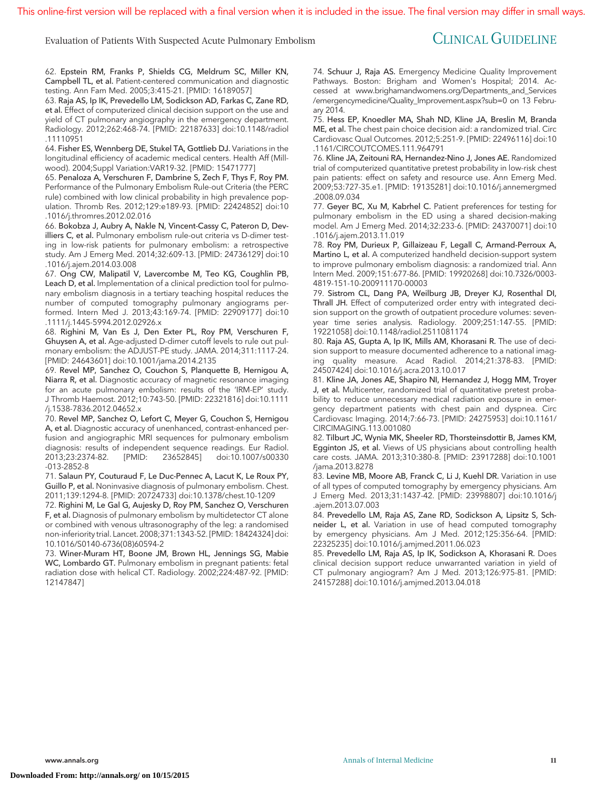This online-first version will be replaced with a final version when it is included in the issue. The final version may differ in small ways.

# Evaluation of Patients With Suspected Acute Pulmonary Embolism CLINICAL GUIDELINE

62. Epstein RM, Franks P, Shields CG, Meldrum SC, Miller KN, Campbell TL, et al. Patient-centered communication and diagnostic testing. Ann Fam Med. 2005;3:415-21. [PMID: 16189057]

63. Raja AS, Ip IK, Prevedello LM, Sodickson AD, Farkas C, Zane RD, et al. Effect of computerized clinical decision support on the use and yield of CT pulmonary angiography in the emergency department. Radiology. 2012;262:468-74. [PMID: 22187633] doi:10.1148/radiol .11110951

64. Fisher ES, Wennberg DE, Stukel TA, Gottlieb DJ. Variations in the longitudinal efficiency of academic medical centers. Health Aff (Millwood). 2004;Suppl Variation:VAR19-32. [PMID: 15471777]

65. Penaloza A, Verschuren F, Dambrine S, Zech F, Thys F, Roy PM. Performance of the Pulmonary Embolism Rule-out Criteria (the PERC rule) combined with low clinical probability in high prevalence population. Thromb Res. 2012;129:e189-93. [PMID: 22424852] doi:10 .1016/j.thromres.2012.02.016

66. Bokobza J, Aubry A, Nakle N, Vincent-Cassy C, Pateron D, Devilliers C, et al. Pulmonary embolism rule-out criteria vs D-dimer testing in low-risk patients for pulmonary embolism: a retrospective study. Am J Emerg Med. 2014;32:609-13. [PMID: 24736129] doi:10 .1016/j.ajem.2014.03.008

67. Ong CW, Malipatil V, Lavercombe M, Teo KG, Coughlin PB, Leach D, et al. Implementation of a clinical prediction tool for pulmonary embolism diagnosis in a tertiary teaching hospital reduces the number of computed tomography pulmonary angiograms performed. Intern Med J. 2013;43:169-74. [PMID: 22909177] doi:10 .1111/j.1445-5994.2012.02926.x

68. Righini M, Van Es J, Den Exter PL, Roy PM, Verschuren F, Ghuysen A, et al. Age-adjusted D-dimer cutoff levels to rule out pulmonary embolism: the ADJUST-PE study. JAMA. 2014;311:1117-24. [PMID: 24643601] doi:10.1001/jama.2014.2135

69. Revel MP, Sanchez O, Couchon S, Planquette B, Hernigou A, Niarra R, et al. Diagnostic accuracy of magnetic resonance imaging for an acute pulmonary embolism: results of the 'IRM-EP' study. J Thromb Haemost. 2012;10:743-50. [PMID: 22321816] doi:10.1111 /j.1538-7836.2012.04652.x

70. Revel MP, Sanchez O, Lefort C, Meyer G, Couchon S, Hernigou A, et al. Diagnostic accuracy of unenhanced, contrast-enhanced perfusion and angiographic MRI sequences for pulmonary embolism diagnosis: results of independent sequence readings. Eur Radiol.<br>2013;23:2374-82. [PMID: 23652845] doi:10.1007/s00330 doi:10.1007/s00330 -013-2852-8

71. Salaun PY, Couturaud F, Le Duc-Pennec A, Lacut K, Le Roux PY, Guillo P, et al. Noninvasive diagnosis of pulmonary embolism. Chest. 2011;139:1294-8. [PMID: 20724733] doi:10.1378/chest.10-1209

72. Righini M, Le Gal G, Aujesky D, Roy PM, Sanchez O, Verschuren F, et al. Diagnosis of pulmonary embolism by multidetector CT alone or combined with venous ultrasonography of the leg: a randomised non-inferiority trial. Lancet. 2008;371:1343-52. [PMID: 18424324] doi: 10.1016/S0140-6736(08)60594-2

73. Winer-Muram HT, Boone JM, Brown HL, Jennings SG, Mabie WC, Lombardo GT. Pulmonary embolism in pregnant patients: fetal radiation dose with helical CT. Radiology. 2002;224:487-92. [PMID: 12147847]

74. Schuur J, Raja AS. Emergency Medicine Quality Improvement Pathways. Boston: Brigham and Women's Hospital; 2014. Accessed at [www.brighamandwomens.org/Departments\\_and\\_Services](http://www.brighamandwomens.org/Departments_and_Services/emergencymedicine/Quality_Improvement.aspx?sub=0) [/emergencymedicine/Quality\\_Improvement.aspx?sub=0](http://www.brighamandwomens.org/Departments_and_Services/emergencymedicine/Quality_Improvement.aspx?sub=0) on 13 February 2014.

75. Hess EP, Knoedler MA, Shah ND, Kline JA, Breslin M, Branda ME, et al. The chest pain choice decision aid: a randomized trial. Circ Cardiovasc Qual Outcomes. 2012;5:251-9. [PMID: 22496116] doi:10 .1161/CIRCOUTCOMES.111.964791

76. Kline JA, Zeitouni RA, Hernandez-Nino J, Jones AE. Randomized trial of computerized quantitative pretest probability in low-risk chest pain patients: effect on safety and resource use. Ann Emerg Med. 2009;53:727-35.e1. [PMID: 19135281] doi:10.1016/j.annemergmed .2008.09.034

77. Geyer BC, Xu M, Kabrhel C. Patient preferences for testing for pulmonary embolism in the ED using a shared decision-making model. Am J Emerg Med. 2014;32:233-6. [PMID: 24370071] doi:10 .1016/j.ajem.2013.11.019

78. Roy PM, Durieux P, Gillaizeau F, Legall C, Armand-Perroux A, Martino L, et al. A computerized handheld decision-support system to improve pulmonary embolism diagnosis: a randomized trial. Ann Intern Med. 2009;151:677-86. [PMID: 19920268] doi:10.7326/0003- 4819-151-10-200911170-00003

79. Sistrom CL, Dang PA, Weilburg JB, Dreyer KJ, Rosenthal DI, Thrall JH. Effect of computerized order entry with integrated decision support on the growth of outpatient procedure volumes: sevenyear time series analysis. Radiology. 2009;251:147-55. [PMID: 19221058] doi:10.1148/radiol.2511081174

80. Raja AS, Gupta A, Ip IK, Mills AM, Khorasani R. The use of decision support to measure documented adherence to a national imaging quality measure. Acad Radiol. 2014;21:378-83. [PMID: 24507424] doi:10.1016/j.acra.2013.10.017

81. Kline JA, Jones AE, Shapiro NI, Hernandez J, Hogg MM, Troyer J, et al. Multicenter, randomized trial of quantitative pretest probability to reduce unnecessary medical radiation exposure in emergency department patients with chest pain and dyspnea. Circ Cardiovasc Imaging. 2014;7:66-73. [PMID: 24275953] doi:10.1161/ CIRCIMAGING.113.001080

82. Tilburt JC, Wynia MK, Sheeler RD, Thorsteinsdottir B, James KM, Egginton JS, et al. Views of US physicians about controlling health care costs. JAMA. 2013;310:380-8. [PMID: 23917288] doi:10.1001 /jama.2013.8278

83. Levine MB, Moore AB, Franck C, Li J, Kuehl DR. Variation in use of all types of computed tomography by emergency physicians. Am J Emerg Med. 2013;31:1437-42. [PMID: 23998807] doi:10.1016/j .ajem.2013.07.003

84. Prevedello LM, Raja AS, Zane RD, Sodickson A, Lipsitz S, Schneider L, et al. Variation in use of head computed tomography by emergency physicians. Am J Med. 2012;125:356-64. [PMID: 22325235] doi:10.1016/j.amjmed.2011.06.023

85. Prevedello LM, Raja AS, Ip IK, Sodickson A, Khorasani R. Does clinical decision support reduce unwarranted variation in yield of CT pulmonary angiogram? Am J Med. 2013;126:975-81. [PMID: 24157288] doi:10.1016/j.amjmed.2013.04.018